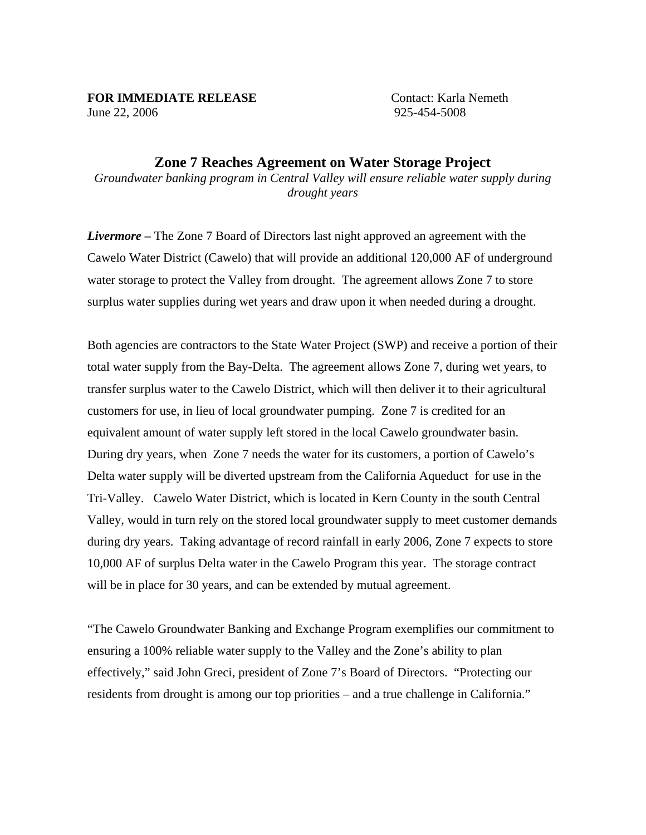## **FOR IMMEDIATE RELEASE** Contact: Karla Nemeth

June 22, 2006 925-454-5008

## **Zone 7 Reaches Agreement on Water Storage Project**  *Groundwater banking program in Central Valley will ensure reliable water supply during*

*drought years* 

*Livermore –* The Zone 7 Board of Directors last night approved an agreement with the Cawelo Water District (Cawelo) that will provide an additional 120,000 AF of underground water storage to protect the Valley from drought. The agreement allows Zone 7 to store surplus water supplies during wet years and draw upon it when needed during a drought.

Both agencies are contractors to the State Water Project (SWP) and receive a portion of their total water supply from the Bay-Delta. The agreement allows Zone 7, during wet years, to transfer surplus water to the Cawelo District, which will then deliver it to their agricultural customers for use, in lieu of local groundwater pumping. Zone 7 is credited for an equivalent amount of water supply left stored in the local Cawelo groundwater basin. During dry years, when Zone 7 needs the water for its customers, a portion of Cawelo's Delta water supply will be diverted upstream from the California Aqueduct for use in the Tri-Valley. Cawelo Water District, which is located in Kern County in the south Central Valley, would in turn rely on the stored local groundwater supply to meet customer demands during dry years. Taking advantage of record rainfall in early 2006, Zone 7 expects to store 10,000 AF of surplus Delta water in the Cawelo Program this year. The storage contract will be in place for 30 years, and can be extended by mutual agreement.

"The Cawelo Groundwater Banking and Exchange Program exemplifies our commitment to ensuring a 100% reliable water supply to the Valley and the Zone's ability to plan effectively," said John Greci, president of Zone 7's Board of Directors. "Protecting our residents from drought is among our top priorities – and a true challenge in California."